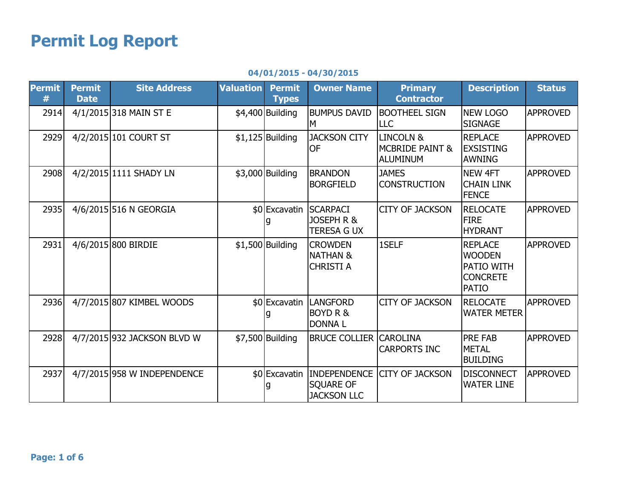## Permit Log Report

## 04/01/2015 - 04/30/2015

| <b>Permit</b><br># | <b>Permit</b><br><b>Date</b> | <b>Site Address</b>         | <b>Valuation</b> | <b>Permit</b><br><b>Types</b> | <b>Owner Name</b>                                                    | <b>Primary</b><br><b>Contractor</b>                 | <b>Description</b>                                                               | <b>Status</b>   |
|--------------------|------------------------------|-----------------------------|------------------|-------------------------------|----------------------------------------------------------------------|-----------------------------------------------------|----------------------------------------------------------------------------------|-----------------|
| 2914               |                              | 4/1/2015 318 MAIN ST E      |                  | \$4,400 Building              | <b>BUMPUS DAVID</b><br>м                                             | <b>BOOTHEEL SIGN</b><br><b>LLC</b>                  | <b>NEW LOGO</b><br><b>SIGNAGE</b>                                                | <b>APPROVED</b> |
| 2929               |                              | 4/2/2015 101 COURT ST       |                  | $$1,125$ Building             | <b>JACKSON CITY</b><br><b>OF</b>                                     | LINCOLN &<br><b>MCBRIDE PAINT &amp;</b><br>ALUMINUM | <b>REPLACE</b><br><b>IEXSISTING</b><br><b>AWNING</b>                             | <b>APPROVED</b> |
| 2908               |                              | 4/2/2015 1111 SHADY LN      |                  | $$3,000$ Building             | <b>BRANDON</b><br><b>BORGFIELD</b>                                   | <b>JAMES</b><br><b>CONSTRUCTION</b>                 | <b>NEW 4FT</b><br><b>CHAIN LINK</b><br><b>FENCE</b>                              | <b>APPROVED</b> |
| 2935               |                              | 4/6/2015 516 N GEORGIA      |                  |                               | \$0 Excavatin SCARPACI<br>JOSEPH R &<br><b>TERESA G UX</b>           | <b>CITY OF JACKSON</b>                              | <b>RELOCATE</b><br><b>FIRE</b><br><b>HYDRANT</b>                                 | <b>APPROVED</b> |
| 2931               |                              | 4/6/2015 800 BIRDIE         |                  | $$1,500$ Building             | <b>CROWDEN</b><br><b>NATHAN &amp;</b><br><b>CHRISTI A</b>            | 1SELF                                               | <b>REPLACE</b><br><b>WOODEN</b><br>PATIO WITH<br><b>CONCRETE</b><br><b>PATIO</b> | <b>APPROVED</b> |
| 2936               |                              | 4/7/2015 807 KIMBEL WOODS   |                  |                               | \$0 Excavatin   LANGFORD<br><b>BOYD R &amp;</b><br><b>DONNAL</b>     | <b>CITY OF JACKSON</b>                              | <b>RELOCATE</b><br><b>WATER METER</b>                                            | <b>APPROVED</b> |
| 2928               |                              | 4/7/2015 932 JACKSON BLVD W |                  | \$7,500 Building              | <b>BRUCE COLLIER CAROLINA</b>                                        | <b>CARPORTS INC</b>                                 | <b>PRE FAB</b><br><b>METAL</b><br><b>BUILDING</b>                                | <b>APPROVED</b> |
| 2937               |                              | 4/7/2015 958 W INDEPENDENCE |                  |                               | \$0 Excavatin INDEPENDENCE<br><b>SQUARE OF</b><br><b>JACKSON LLC</b> | <b>CITY OF JACKSON</b>                              | <b>DISCONNECT</b><br><b>WATER LINE</b>                                           | <b>APPROVED</b> |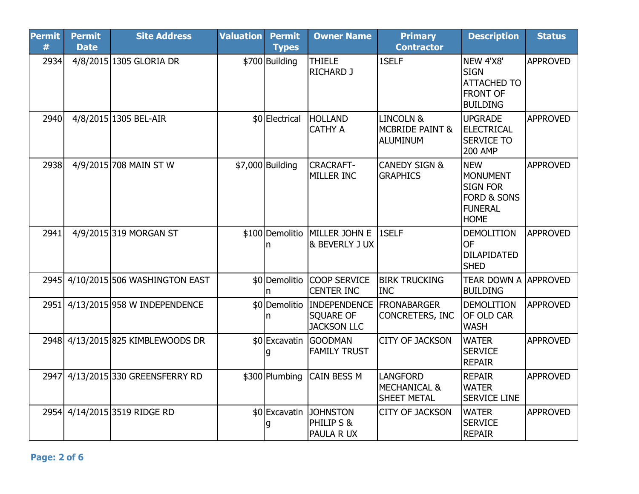| <b>Permit</b><br># | <b>Permit</b><br><b>Date</b> | <b>Site Address</b>                | <b>Valuation</b> | <b>Permit</b><br><b>Types</b> | <b>Owner Name</b>                                                    | <b>Primary</b><br><b>Contractor</b>                                   | <b>Description</b>                                                                                   | <b>Status</b>   |
|--------------------|------------------------------|------------------------------------|------------------|-------------------------------|----------------------------------------------------------------------|-----------------------------------------------------------------------|------------------------------------------------------------------------------------------------------|-----------------|
| 2934               |                              | 4/8/2015 1305 GLORIA DR            |                  | \$700 Building                | <b>THIELE</b><br><b>RICHARD J</b>                                    | 1SELF                                                                 | NEW 4'X8'<br><b>SIGN</b><br><b>ATTACHED TO</b><br><b>FRONT OF</b><br><b>BUILDING</b>                 | <b>APPROVED</b> |
| 2940               |                              | 4/8/2015 1305 BEL-AIR              |                  | \$0 Electrical                | <b>HOLLAND</b><br><b>CATHY A</b>                                     | <b>LINCOLN &amp;</b><br><b>MCBRIDE PAINT &amp;</b><br><b>ALUMINUM</b> | <b>UPGRADE</b><br><b>ELECTRICAL</b><br><b>SERVICE TO</b><br><b>200 AMP</b>                           | <b>APPROVED</b> |
| 2938               |                              | 4/9/2015 708 MAIN ST W             |                  | \$7,000 Building              | <b>CRACRAFT-</b><br>MILLER INC                                       | <b>CANEDY SIGN &amp;</b><br><b>GRAPHICS</b>                           | <b>NEW</b><br>MONUMENT<br><b>SIGN FOR</b><br><b>FORD &amp; SONS</b><br><b>FUNERAL</b><br><b>HOME</b> | <b>APPROVED</b> |
| 2941               |                              | 4/9/2015 319 MORGAN ST             |                  | n                             | \$100 Demolitio MILLER JOHN E 1SELF<br>& BEVERLY J UX                |                                                                       | <b>DEMOLITION</b><br><b>OF</b><br><b>DILAPIDATED</b><br><b>SHED</b>                                  | <b>APPROVED</b> |
|                    |                              | 2945 4/10/2015 506 WASHINGTON EAST |                  | n                             | \$0 Demolitio COOP SERVICE<br><b>CENTER INC</b>                      | <b>BIRK TRUCKING</b><br>Inc                                           | <b>TEAR DOWN A APPROVED</b><br><b>BUILDING</b>                                                       |                 |
|                    |                              | 2951 4/13/2015 958 W INDEPENDENCE  |                  | n                             | \$0 Demolitio INDEPENDENCE<br><b>SQUARE OF</b><br><b>JACKSON LLC</b> | <b>FRONABARGER</b><br>CONCRETERS, INC                                 | <b>DEMOLITION</b><br><b>OF OLD CAR</b><br><b>WASH</b>                                                | <b>APPROVED</b> |
|                    |                              | 2948 4/13/2015 825 KIMBLEWOODS DR  |                  |                               | \$0 Excavatin GOODMAN<br><b>FAMILY TRUST</b>                         | <b>CITY OF JACKSON</b>                                                | <b>WATER</b><br><b>SERVICE</b><br><b>REPAIR</b>                                                      | <b>APPROVED</b> |
|                    |                              | 2947 4/13/2015 330 GREENSFERRY RD  |                  |                               | \$300 Plumbing CAIN BESS M                                           | <b>LANGFORD</b><br><b>MECHANICAL &amp;</b><br><b>SHEET METAL</b>      | <b>REPAIR</b><br><b>WATER</b><br><b>SERVICE LINE</b>                                                 | <b>APPROVED</b> |
|                    |                              | 2954 4/14/2015 3519 RIDGE RD       |                  | g                             | \$0 Excavatin JOHNSTON<br>PHILIP S &<br>PAULA R UX                   | <b>CITY OF JACKSON</b>                                                | <b>WATER</b><br><b>SERVICE</b><br><b>REPAIR</b>                                                      | <b>APPROVED</b> |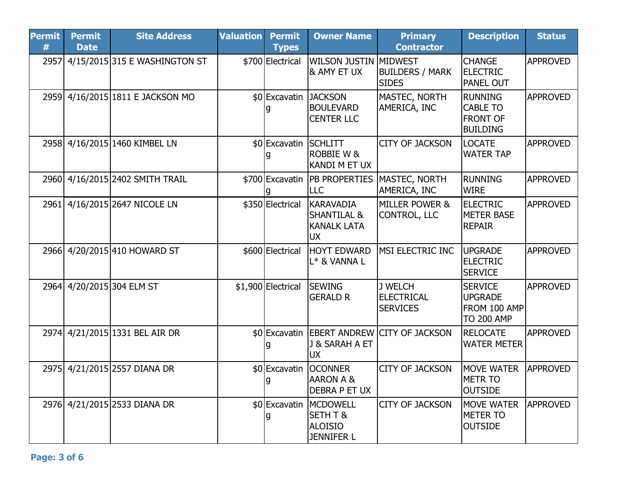| <b>Permit</b><br># | <b>Permit</b><br><b>Date</b> | <b>Site Address</b>              | <b>Valuation</b> | <b>Permit</b><br><b>Types</b> | <b>Owner Name</b>                                                             | <b>Primary</b><br><b>Contractor</b>                             | <b>Description</b>                                                      | <b>Status</b>   |
|--------------------|------------------------------|----------------------------------|------------------|-------------------------------|-------------------------------------------------------------------------------|-----------------------------------------------------------------|-------------------------------------------------------------------------|-----------------|
| 2957l              |                              | 4/15/2015 315 E WASHINGTON ST    |                  | \$700 Electrical              | WILSON JUSTIN MIDWEST<br>& AMY ET UX                                          | <b>BUILDERS / MARK</b><br><b>SIDES</b>                          | <b>CHANGE</b><br><b>ELECTRIC</b><br><b>PANEL OUT</b>                    | <b>APPROVED</b> |
|                    |                              | 2959 4/16/2015 1811 E JACKSON MO |                  | \$0 Excavatin JACKSON         | <b>BOULEVARD</b><br><b>CENTER LLC</b>                                         | MASTEC, NORTH<br>AMERICA, INC                                   | <b>RUNNING</b><br><b>CABLE TO</b><br><b>FRONT OF</b><br><b>BUILDING</b> | <b>APPROVED</b> |
|                    |                              | 2958 4/16/2015 1460 KIMBEL LN    |                  | \$0 Excavatin SCHLITT         | ROBBIE W &<br>KANDI M ET UX                                                   | <b>CITY OF JACKSON</b>                                          | <b>LOCATE</b><br><b>WATER TAP</b>                                       | <b>APPROVED</b> |
|                    |                              | 2960 4/16/2015 2402 SMITH TRAIL  |                  |                               | LLC                                                                           | \$700 Excavatin   PB PROPERTIES   MASTEC, NORTH<br>AMERICA, INC | <b>RUNNING</b><br><b>WIRE</b>                                           | <b>APPROVED</b> |
|                    |                              | 2961 4/16/2015 2647 NICOLE LN    |                  | \$350 Electrical              | <b>KARAVADIA</b><br><b>SHANTILAL &amp;</b><br><b>KANALK LATA</b><br><b>UX</b> | <b>MILLER POWER &amp;</b><br>CONTROL, LLC                       | <b>ELECTRIC</b><br>METER BASE<br><b>REPAIR</b>                          | <b>APPROVED</b> |
|                    |                              | 2966 4/20/2015 410 HOWARD ST     |                  | \$600 Electrical              | <b>HOYT EDWARD</b><br>L* & VANNA L                                            | MSI ELECTRIC INC                                                | <b>UPGRADE</b><br><b>ELECTRIC</b><br><b>SERVICE</b>                     | <b>APPROVED</b> |
|                    |                              | 2964 4/20/2015 304 ELM ST        |                  | \$1,900 Electrical            | <b>SEWING</b><br><b>GERALD R</b>                                              | J WELCH<br><b>ELECTRICAL</b><br><b>SERVICES</b>                 | <b>SERVICE</b><br><b>UPGRADE</b><br>FROM 100 AMP<br><b>TO 200 AMP</b>   | <b>APPROVED</b> |
|                    |                              | 2974 4/21/2015 1331 BEL AIR DR   |                  | g                             | J & SARAH A ET<br><b>UX</b>                                                   | \$0 Excavatin EBERT ANDREW CITY OF JACKSON                      | <b>RELOCATE</b><br><b>WATER METER</b>                                   | <b>APPROVED</b> |
|                    |                              | 2975 4/21/2015 2557 DIANA DR     |                  | \$0 Excavatin<br>g            | <b>OCONNER</b><br><b>AARON A &amp;</b><br><b>DEBRA P ET UX</b>                | <b>CITY OF JACKSON</b>                                          | <b>MOVE WATER</b><br><b>METR TO</b><br><b>OUTSIDE</b>                   | <b>APPROVED</b> |
|                    |                              | 2976 4/21/2015 2533 DIANA DR     |                  | g                             | \$0 Excavatin MCDOWELL<br>SETH T &<br><b>ALOISIO</b><br><b>JENNIFER L</b>     | <b>CITY OF JACKSON</b>                                          | MOVE WATER<br><b>METER TO</b><br><b>OUTSIDE</b>                         | <b>APPROVED</b> |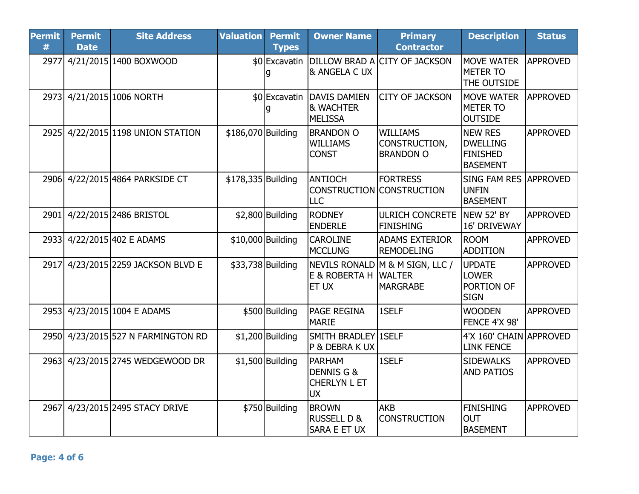| <b>Permit</b><br># | <b>Permit</b><br><b>Date</b> | <b>Site Address</b>                | <b>Valuation</b>   | <b>Permit</b><br><b>Types</b> | <b>Owner Name</b>                                                    | <b>Primary</b><br><b>Contractor</b>                                  | <b>Description</b>                                                      | <b>Status</b>   |
|--------------------|------------------------------|------------------------------------|--------------------|-------------------------------|----------------------------------------------------------------------|----------------------------------------------------------------------|-------------------------------------------------------------------------|-----------------|
| 2977               |                              | 4/21/2015 1400 BOXWOOD             |                    | q                             | & ANGELA C UX                                                        | \$0 Excavatin DILLOW BRAD A CITY OF JACKSON                          | <b>MOVE WATER</b><br><b>METER TO</b><br>THE OUTSIDE                     | <b>APPROVED</b> |
|                    |                              | 2973 4/21/2015 1006 NORTH          |                    | g                             | \$0 Excavatin DAVIS DAMIEN<br><b>&amp; WACHTER</b><br><b>MELISSA</b> | <b>CITY OF JACKSON</b>                                               | <b>MOVE WATER</b><br><b>METER TO</b><br><b>OUTSIDE</b>                  | <b>APPROVED</b> |
| 2925               |                              | 4/22/2015 1198 UNION STATION       | \$186,070 Building |                               | <b>BRANDON O</b><br><b>WILLIAMS</b><br><b>CONST</b>                  | <b>WILLIAMS</b><br>CONSTRUCTION,<br><b>BRANDON O</b>                 | <b>NEW RES</b><br><b>DWELLING</b><br><b>FINISHED</b><br><b>BASEMENT</b> | <b>APPROVED</b> |
|                    |                              | 2906 4/22/2015 4864 PARKSIDE CT    | \$178,335 Building |                               | <b>ANTIOCH</b><br><b>LLC</b>                                         | <b>FORTRESS</b><br>CONSTRUCTION CONSTRUCTION                         | <b>SING FAM RES</b><br><b>UNFIN</b><br><b>BASEMENT</b>                  | <b>APPROVED</b> |
| 2901               |                              | 4/22/2015 2486 BRISTOL             |                    | $$2,800$ Building             | <b>RODNEY</b><br><b>ENDERLE</b>                                      | <b>ULRICH CONCRETE</b><br><b>FINISHING</b>                           | NEW 52' BY<br>16' DRIVEWAY                                              | <b>APPROVED</b> |
|                    |                              | 2933 4/22/2015 402 E ADAMS         |                    | \$10,000 Building             | <b>CAROLINE</b><br><b>MCCLUNG</b>                                    | <b>ADAMS EXTERIOR</b><br>REMODELING                                  | <b>ROOM</b><br><b>ADDITION</b>                                          | <b>APPROVED</b> |
| 2917l              |                              | 4/23/2015 2259 JACKSON BLVD E      |                    | \$33,738 Building             | E & ROBERTA H<br>ET UX                                               | NEVILS RONALD M & M SIGN, LLC /<br><b>IWALTER</b><br><b>MARGRABE</b> | <b>UPDATE</b><br><b>LOWER</b><br>PORTION OF<br><b>SIGN</b>              | <b>APPROVED</b> |
|                    |                              | 2953 4/23/2015 1004 E ADAMS        |                    | \$500 Building                | <b>PAGE REGINA</b><br><b>MARIE</b>                                   | 1SELF                                                                | <b>WOODEN</b><br>FENCE 4'X 98'                                          | <b>APPROVED</b> |
|                    |                              | 2950 4/23/2015 527 N FARMINGTON RD |                    | $$1,200$ Building             | SMITH BRADLEY 1SELF<br>P & DEBRA K UX                                |                                                                      | 4'X 160' CHAIN APPROVED<br><b>LINK FENCE</b>                            |                 |
|                    |                              | 2963 4/23/2015 2745 WEDGEWOOD DR   |                    | $$1,500$ Building             | <b>PARHAM</b><br>DENNIS G &<br><b>CHERLYN L ET</b><br><b>UX</b>      | 1SELF                                                                | <b>SIDEWALKS</b><br><b>AND PATIOS</b>                                   | <b>APPROVED</b> |
| 2967               |                              | 4/23/2015 2495 STACY DRIVE         |                    | \$750 Building                | <b>BROWN</b><br><b>RUSSELL D &amp;</b><br><b>SARA E ET UX</b>        | lakb<br><b>CONSTRUCTION</b>                                          | <b>FINISHING</b><br><b>OUT</b><br><b>BASEMENT</b>                       | <b>APPROVED</b> |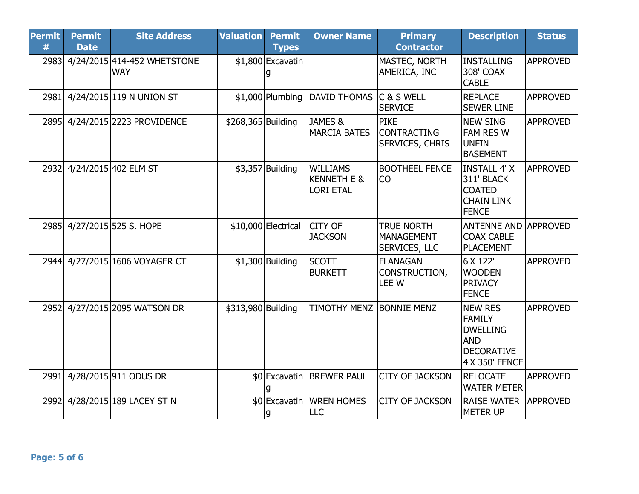| <b>Permit</b><br># | <b>Permit</b><br><b>Date</b> | <b>Site Address</b>                       | <b>Valuation</b>   | <b>Permit</b><br><b>Types</b> | <b>Owner Name</b>                                             | <b>Primary</b><br><b>Contractor</b>                         | <b>Description</b>                                                                                      | <b>Status</b>   |
|--------------------|------------------------------|-------------------------------------------|--------------------|-------------------------------|---------------------------------------------------------------|-------------------------------------------------------------|---------------------------------------------------------------------------------------------------------|-----------------|
| 2983               |                              | 4/24/2015 414-452 WHETSTONE<br><b>WAY</b> |                    | \$1,800 Excavatin<br>g        |                                                               | MASTEC, NORTH<br>AMERICA, INC                               | <b>INSTALLING</b><br>308' COAX<br><b>CABLE</b>                                                          | <b>APPROVED</b> |
|                    |                              | 2981 4/24/2015 119 N UNION ST             |                    |                               | \$1,000 Plumbing DAVID THOMAS                                 | lc & s well<br><b>SERVICE</b>                               | <b>REPLACE</b><br><b>SEWER LINE</b>                                                                     | <b>APPROVED</b> |
|                    |                              | 2895 4/24/2015 2223 PROVIDENCE            | \$268,365 Building |                               | JAMES &<br><b>MARCIA BATES</b>                                | <b>PIKE</b><br><b>CONTRACTING</b><br><b>SERVICES, CHRIS</b> | <b>NEW SING</b><br><b>FAM RES W</b><br><b>UNFIN</b><br><b>BASEMENT</b>                                  | <b>APPROVED</b> |
|                    |                              | 2932 4/24/2015 402 ELM ST                 |                    | $$3,357$ Building             | <b>WILLIAMS</b><br><b>KENNETH E &amp;</b><br><b>LORI ETAL</b> | <b>BOOTHEEL FENCE</b><br> CO                                | <b>INSTALL 4' X</b><br>311' BLACK<br><b>COATED</b><br><b>CHAIN LINK</b><br><b>FENCE</b>                 | <b>APPROVED</b> |
|                    |                              | 2985 4/27/2015 525 S. HOPE                |                    | \$10,000 Electrical           | <b>CITY OF</b><br><b>JACKSON</b>                              | <b>TRUE NORTH</b><br>MANAGEMENT<br><b>SERVICES, LLC</b>     | <b>ANTENNE AND</b><br><b>COAX CABLE</b><br><b>PLACEMENT</b>                                             | <b>APPROVED</b> |
|                    |                              | 2944 4/27/2015 1606 VOYAGER CT            |                    | $$1,300$ Building             | <b>SCOTT</b><br><b>BURKETT</b>                                | <b>FLANAGAN</b><br>CONSTRUCTION,<br>LEE W                   | 6'X 122'<br><b>WOODEN</b><br><b>PRIVACY</b><br><b>FENCE</b>                                             | <b>APPROVED</b> |
| 2952               |                              | 4/27/2015 2095 WATSON DR                  | \$313,980 Building |                               | <b>TIMOTHY MENZ BONNIE MENZ</b>                               |                                                             | <b>NEW RES</b><br><b>FAMILY</b><br><b>DWELLING</b><br><b>AND</b><br><b>DECORATIVE</b><br>4'X 350' FENCE | <b>APPROVED</b> |
| 2991               |                              | 4/28/2015 911 ODUS DR                     |                    |                               | \$0 Excavatin BREWER PAUL                                     | <b>CITY OF JACKSON</b>                                      | <b>RELOCATE</b><br><b>WATER METER</b>                                                                   | <b>APPROVED</b> |
|                    |                              | 2992 4/28/2015 189 LACEY ST N             |                    | g                             | \$0 Excavatin WREN HOMES<br><b>LLC</b>                        | <b>CITY OF JACKSON</b>                                      | <b>RAISE WATER</b><br><b>METER UP</b>                                                                   | <b>APPROVED</b> |